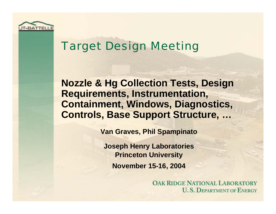

## Target Design Meeting

**Nozzle & Hg Collection Tests, Design Requirements, Instrumentation, Containment, Windows, Diagnostics, Controls, Base Support Structure, …**

**Van Graves, Phil Spampinato**

**Joseph Henry Laboratories Princeton University November 15-16, 2004**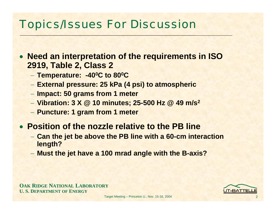## Topics/Issues For Discussion

- **Need an interpretation of the requirements in ISO 2919, Table 2, Class 2**
	- −**Temperature: -400C to 800C**
	- **External pressure: 25 kPa (4 psi) to atmospheric**
	- −**Impact: 50 grams from 1 meter**
	- − **Vibration: 3 X @ 10 minutes; 25-500 Hz @ 49 m/s2**
	- **Puncture: 1 gram from 1 meter**
- **Position of the nozzle relative to the PB line**
	- **Can the jet be above the PB line with a 60-cm interaction length?**
	- **Must the jet have a 100 mrad angle with the B-axis?**

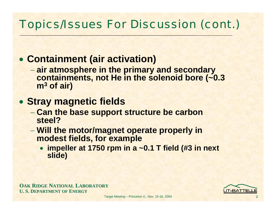## • **Containment (air activation)**

− **air atmosphere in the primary and secondary containments, not He in the solenoid bore (~0.3 <sup>m</sup><sup>3</sup> of air)**

#### • **Stray magnetic fields**

- − **Can the base support structure be carbon steel?**
- − **Will the motor/magnet operate properly in modest fields, for example**
	- **impeller at 1750 rpm in a ~0.1 T field (#3 in next slide)**

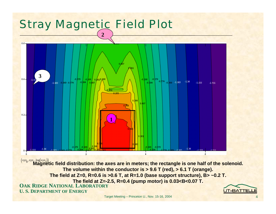

Target Meeting – Princeton U., Nov. 15-16, 2004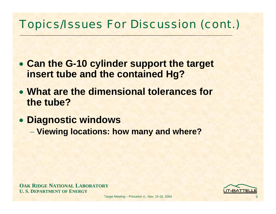- **Can the G-10 cylinder support the target insert tube and the contained Hg?**
- **What are the dimensional tolerances for the tube?**
- **Diagnostic windows**
	- **Viewing locations: how many and where?**

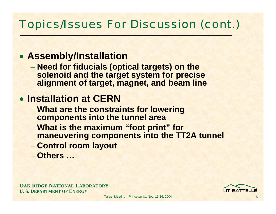#### • **Assembly/Installation**

− **Need for fiducials (optical targets) on the solenoid and the target system for precise alignment of target, magnet, and beam line**

## • **Installation at CERN**

- − **What are the constraints for lowering components into the tunnel area**
- − **What is the maximum "foot print" for maneuvering components into the TT2A tunnel**
- −**Control room layout**
- − **Others …**

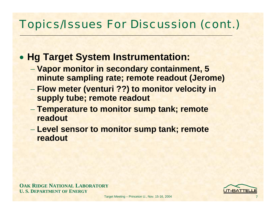#### • **Hg Target System Instrumentation:**

- − **Vapor monitor in secondary containment, 5 minute sampling rate; remote readout (Jerome)**
- − **Flow meter (venturi ??) to monitor velocity in supply tube; remote readout**
- − **Temperature to monitor sump tank; remote readout**
- − **Level sensor to monitor sump tank; remote readout**

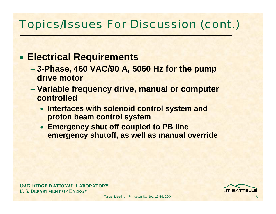#### • **Electrical Requirements**

- − **3-Phase, 460 VAC/90 A, 5060 Hz for the pump drive motor**
- − **Variable frequency drive, manual or computer controlled**
	- **Interfaces with solenoid control system and proton beam control system**
	- **Emergency shut off coupled to PB line emergency shutoff, as well as manual override**

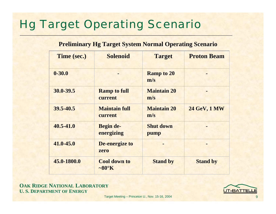# Hg Target Operating Scenario

#### **Preliminary Hg Target System Normal Operating Scenario**

| Time (sec.)   | <b>Solenoid</b>                          | <b>Target</b>             | <b>Proton Beam</b>  |
|---------------|------------------------------------------|---------------------------|---------------------|
| $0 - 30.0$    |                                          | <b>Ramp to 20</b><br>m/s  |                     |
| 30.0-39.5     | <b>Ramp to full</b><br>current           | <b>Maintain 20</b><br>m/s |                     |
| 39.5-40.5     | <b>Maintain full</b><br>current          | <b>Maintain 20</b><br>m/s | <b>24 GeV, 1 MW</b> |
| $40.5 - 41.0$ | <b>Begin de-</b><br>energizing           | <b>Shut down</b><br>pump  |                     |
| $41.0 - 45.0$ | De-energize to<br>zero                   |                           |                     |
| 45.0-1800.0   | <b>Cool down to</b><br>$\sim 80^\circ K$ | <b>Stand by</b>           | <b>Stand by</b>     |

**OAK RIDGE NATIONAL LABORATORY U. S. DEPARTMENT OF ENERGY**



Target Meeting – Princeton U., Nov. 15-16, 2004